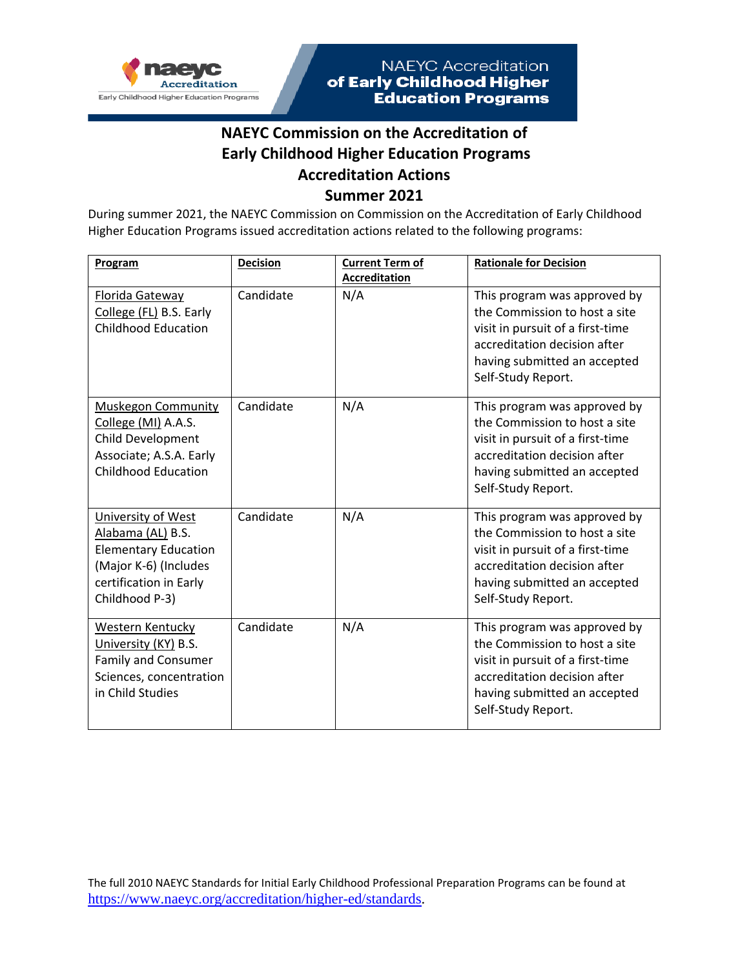

#### **NAEYC Commission on the Accreditation of Early Childhood Higher Education Programs Accreditation Actions Summer 2021**

During summer 2021, the NAEYC Commission on Commission on the Accreditation of Early Childhood Higher Education Programs issued accreditation actions related to the following programs:

| Program                                                                                                                                     | <b>Decision</b> | <b>Current Term of</b> | <b>Rationale for Decision</b>                                                                                                                                                           |
|---------------------------------------------------------------------------------------------------------------------------------------------|-----------------|------------------------|-----------------------------------------------------------------------------------------------------------------------------------------------------------------------------------------|
|                                                                                                                                             |                 | <b>Accreditation</b>   |                                                                                                                                                                                         |
| Florida Gateway<br>College (FL) B.S. Early<br><b>Childhood Education</b>                                                                    | Candidate       | N/A                    | This program was approved by<br>the Commission to host a site<br>visit in pursuit of a first-time<br>accreditation decision after<br>having submitted an accepted<br>Self-Study Report. |
| <b>Muskegon Community</b><br>College (MI) A.A.S.<br>Child Development<br>Associate; A.S.A. Early<br><b>Childhood Education</b>              | Candidate       | N/A                    | This program was approved by<br>the Commission to host a site<br>visit in pursuit of a first-time<br>accreditation decision after<br>having submitted an accepted<br>Self-Study Report. |
| University of West<br>Alabama (AL) B.S.<br><b>Elementary Education</b><br>(Major K-6) (Includes<br>certification in Early<br>Childhood P-3) | Candidate       | N/A                    | This program was approved by<br>the Commission to host a site<br>visit in pursuit of a first-time<br>accreditation decision after<br>having submitted an accepted<br>Self-Study Report. |
| Western Kentucky<br>University (KY) B.S.<br><b>Family and Consumer</b><br>Sciences, concentration<br>in Child Studies                       | Candidate       | N/A                    | This program was approved by<br>the Commission to host a site<br>visit in pursuit of a first-time<br>accreditation decision after<br>having submitted an accepted<br>Self-Study Report. |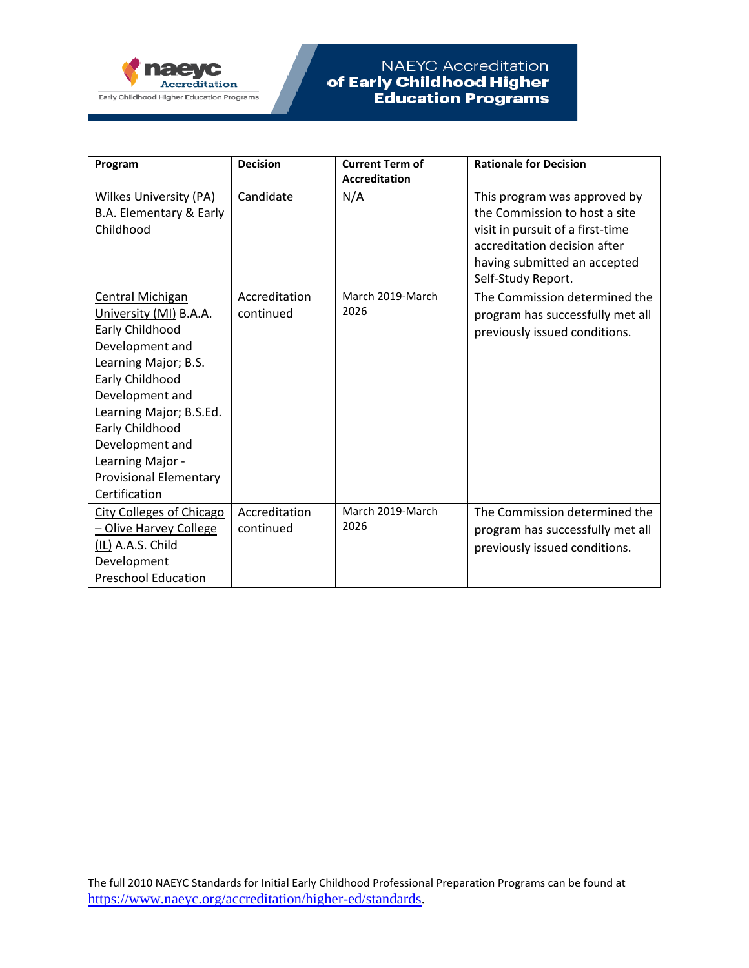

| Program                                                                                                                                                                                                                                                                                      | <b>Decision</b>            | <b>Current Term of</b>   | <b>Rationale for Decision</b>                                                                                                                                     |
|----------------------------------------------------------------------------------------------------------------------------------------------------------------------------------------------------------------------------------------------------------------------------------------------|----------------------------|--------------------------|-------------------------------------------------------------------------------------------------------------------------------------------------------------------|
|                                                                                                                                                                                                                                                                                              |                            | <b>Accreditation</b>     |                                                                                                                                                                   |
| <b>Wilkes University (PA)</b><br>B.A. Elementary & Early<br>Childhood                                                                                                                                                                                                                        | Candidate                  | N/A                      | This program was approved by<br>the Commission to host a site<br>visit in pursuit of a first-time<br>accreditation decision after<br>having submitted an accepted |
|                                                                                                                                                                                                                                                                                              |                            |                          | Self-Study Report.                                                                                                                                                |
| <b>Central Michigan</b><br>University (MI) B.A.A.<br>Early Childhood<br>Development and<br>Learning Major; B.S.<br>Early Childhood<br>Development and<br>Learning Major; B.S.Ed.<br>Early Childhood<br>Development and<br>Learning Major -<br><b>Provisional Elementary</b><br>Certification | Accreditation<br>continued | March 2019-March<br>2026 | The Commission determined the<br>program has successfully met all<br>previously issued conditions.                                                                |
| <b>City Colleges of Chicago</b><br>- Olive Harvey College<br>(IL) A.A.S. Child<br>Development<br><b>Preschool Education</b>                                                                                                                                                                  | Accreditation<br>continued | March 2019-March<br>2026 | The Commission determined the<br>program has successfully met all<br>previously issued conditions.                                                                |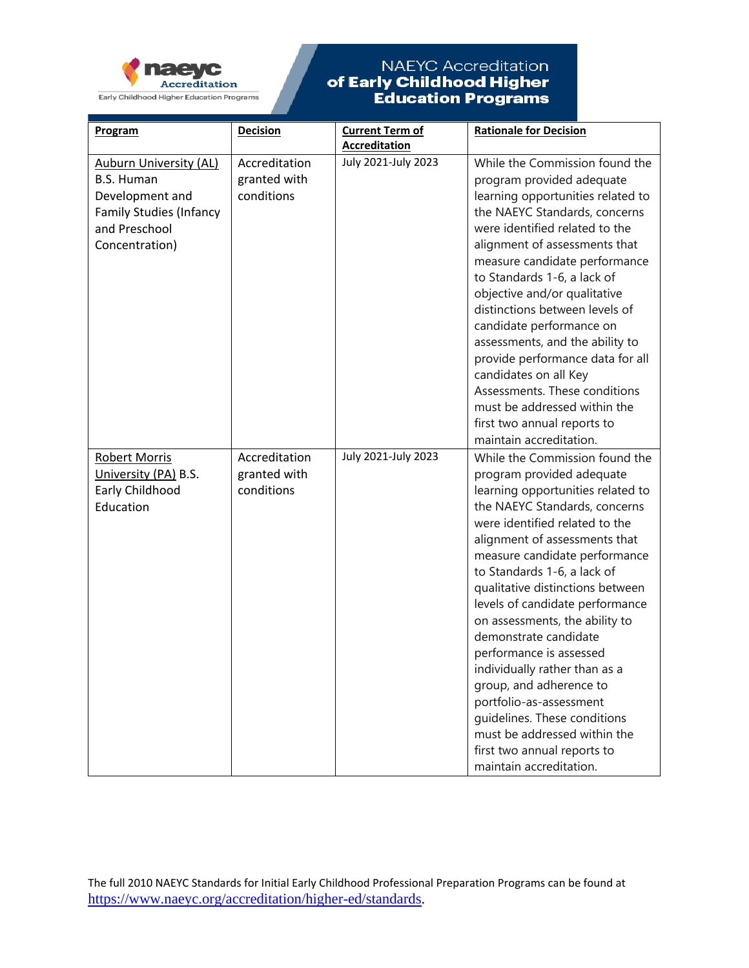

| Program                                            | <b>Decision</b> | <b>Current Term of</b> | <b>Rationale for Decision</b>                                     |
|----------------------------------------------------|-----------------|------------------------|-------------------------------------------------------------------|
|                                                    | Accreditation   | <b>Accreditation</b>   |                                                                   |
| <b>Auburn University (AL)</b><br><b>B.S. Human</b> | granted with    | July 2021-July 2023    | While the Commission found the<br>program provided adequate       |
| Development and                                    | conditions      |                        | learning opportunities related to                                 |
| <b>Family Studies (Infancy</b>                     |                 |                        | the NAEYC Standards, concerns                                     |
| and Preschool                                      |                 |                        | were identified related to the                                    |
| Concentration)                                     |                 |                        | alignment of assessments that                                     |
|                                                    |                 |                        | measure candidate performance                                     |
|                                                    |                 |                        | to Standards 1-6, a lack of                                       |
|                                                    |                 |                        | objective and/or qualitative                                      |
|                                                    |                 |                        | distinctions between levels of                                    |
|                                                    |                 |                        | candidate performance on                                          |
|                                                    |                 |                        | assessments, and the ability to                                   |
|                                                    |                 |                        | provide performance data for all                                  |
|                                                    |                 |                        | candidates on all Key                                             |
|                                                    |                 |                        | Assessments. These conditions                                     |
|                                                    |                 |                        | must be addressed within the                                      |
|                                                    |                 |                        | first two annual reports to                                       |
|                                                    |                 |                        | maintain accreditation.                                           |
| <b>Robert Morris</b>                               | Accreditation   | July 2021-July 2023    | While the Commission found the                                    |
| University (PA) B.S.                               | granted with    |                        | program provided adequate                                         |
| Early Childhood                                    | conditions      |                        | learning opportunities related to                                 |
| Education                                          |                 |                        | the NAEYC Standards, concerns                                     |
|                                                    |                 |                        | were identified related to the                                    |
|                                                    |                 |                        | alignment of assessments that                                     |
|                                                    |                 |                        | measure candidate performance                                     |
|                                                    |                 |                        | to Standards 1-6, a lack of                                       |
|                                                    |                 |                        | qualitative distinctions between                                  |
|                                                    |                 |                        | levels of candidate performance<br>on assessments, the ability to |
|                                                    |                 |                        | demonstrate candidate                                             |
|                                                    |                 |                        | performance is assessed                                           |
|                                                    |                 |                        | individually rather than as a                                     |
|                                                    |                 |                        | group, and adherence to                                           |
|                                                    |                 |                        | portfolio-as-assessment                                           |
|                                                    |                 |                        | quidelines. These conditions                                      |
|                                                    |                 |                        | must be addressed within the                                      |
|                                                    |                 |                        | first two annual reports to                                       |
|                                                    |                 |                        | maintain accreditation.                                           |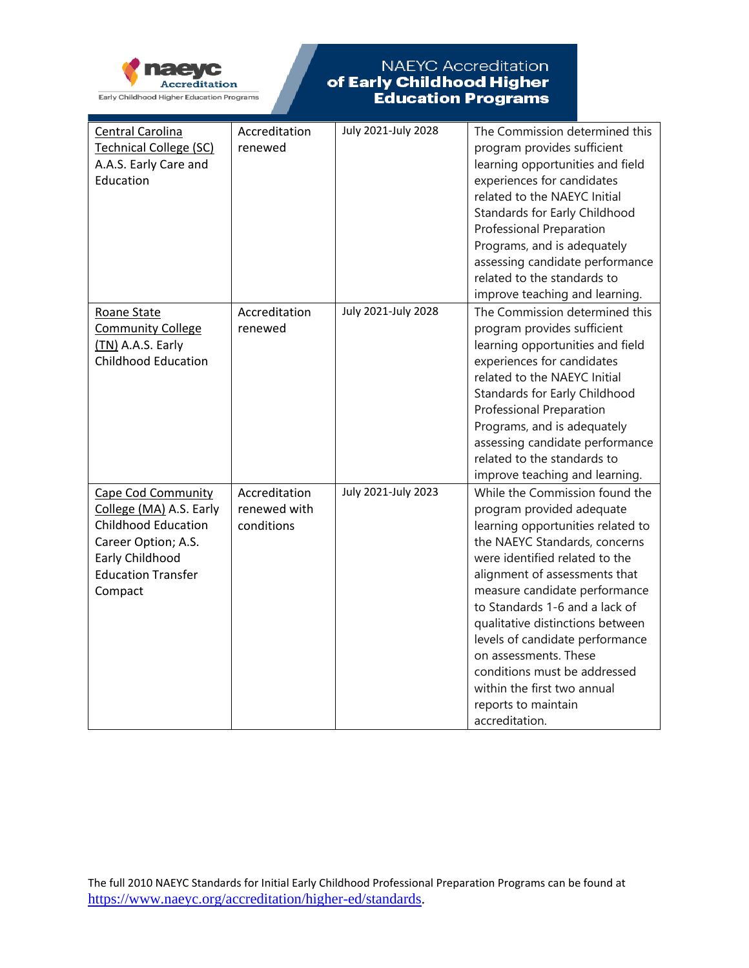

| Central Carolina<br><b>Technical College (SC)</b><br>A.A.S. Early Care and<br>Education                                                                              | Accreditation<br>renewed                    | July 2021-July 2028 | The Commission determined this<br>program provides sufficient<br>learning opportunities and field<br>experiences for candidates<br>related to the NAEYC Initial<br>Standards for Early Childhood                                                                                                                                                                                                                                                                                |
|----------------------------------------------------------------------------------------------------------------------------------------------------------------------|---------------------------------------------|---------------------|---------------------------------------------------------------------------------------------------------------------------------------------------------------------------------------------------------------------------------------------------------------------------------------------------------------------------------------------------------------------------------------------------------------------------------------------------------------------------------|
|                                                                                                                                                                      |                                             |                     | Professional Preparation                                                                                                                                                                                                                                                                                                                                                                                                                                                        |
|                                                                                                                                                                      |                                             |                     | Programs, and is adequately                                                                                                                                                                                                                                                                                                                                                                                                                                                     |
|                                                                                                                                                                      |                                             |                     | assessing candidate performance<br>related to the standards to                                                                                                                                                                                                                                                                                                                                                                                                                  |
|                                                                                                                                                                      |                                             |                     | improve teaching and learning.                                                                                                                                                                                                                                                                                                                                                                                                                                                  |
| Roane State<br><b>Community College</b><br>(TN) A.A.S. Early<br><b>Childhood Education</b>                                                                           | Accreditation<br>renewed                    | July 2021-July 2028 | The Commission determined this<br>program provides sufficient<br>learning opportunities and field<br>experiences for candidates<br>related to the NAEYC Initial<br>Standards for Early Childhood<br><b>Professional Preparation</b><br>Programs, and is adequately<br>assessing candidate performance<br>related to the standards to<br>improve teaching and learning.                                                                                                          |
| <b>Cape Cod Community</b><br>College (MA) A.S. Early<br><b>Childhood Education</b><br>Career Option; A.S.<br>Early Childhood<br><b>Education Transfer</b><br>Compact | Accreditation<br>renewed with<br>conditions | July 2021-July 2023 | While the Commission found the<br>program provided adequate<br>learning opportunities related to<br>the NAEYC Standards, concerns<br>were identified related to the<br>alignment of assessments that<br>measure candidate performance<br>to Standards 1-6 and a lack of<br>qualitative distinctions between<br>levels of candidate performance<br>on assessments. These<br>conditions must be addressed<br>within the first two annual<br>reports to maintain<br>accreditation. |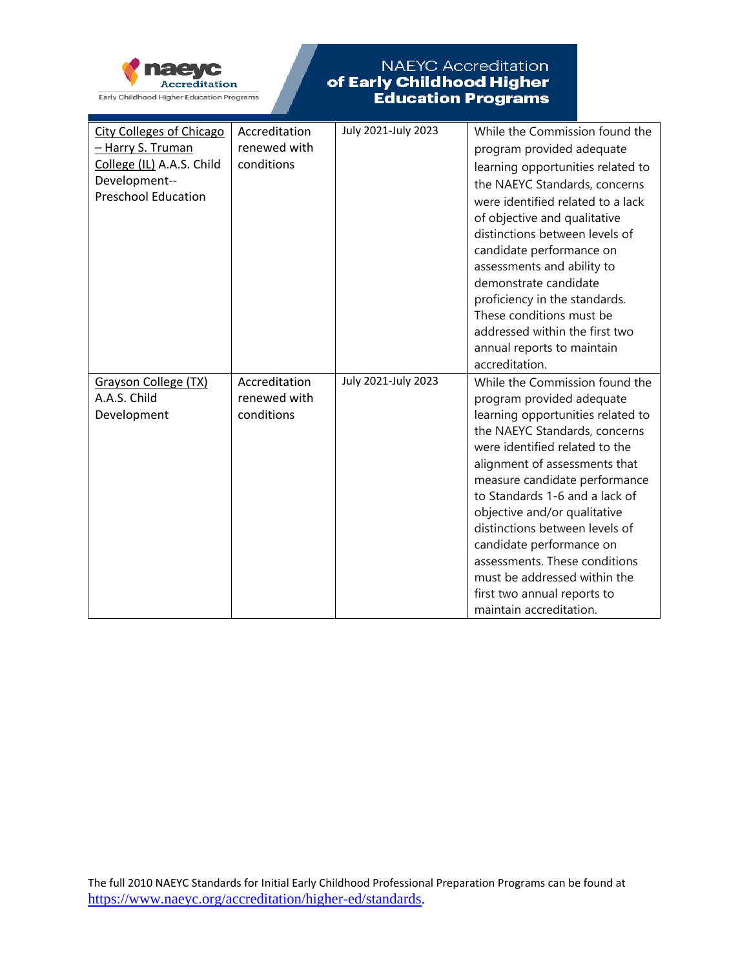

| <b>City Colleges of Chicago</b> | Accreditation | July 2021-July 2023 | While the Commission found the                         |
|---------------------------------|---------------|---------------------|--------------------------------------------------------|
| - Harry S. Truman               | renewed with  |                     | program provided adequate                              |
| College (IL) A.A.S. Child       | conditions    |                     | learning opportunities related to                      |
| Development--                   |               |                     | the NAEYC Standards, concerns                          |
| <b>Preschool Education</b>      |               |                     | were identified related to a lack                      |
|                                 |               |                     | of objective and qualitative                           |
|                                 |               |                     | distinctions between levels of                         |
|                                 |               |                     | candidate performance on                               |
|                                 |               |                     | assessments and ability to                             |
|                                 |               |                     | demonstrate candidate                                  |
|                                 |               |                     | proficiency in the standards.                          |
|                                 |               |                     | These conditions must be                               |
|                                 |               |                     | addressed within the first two                         |
|                                 |               |                     | annual reports to maintain                             |
|                                 |               |                     | accreditation.                                         |
| Grayson College (TX)            | Accreditation | July 2021-July 2023 | While the Commission found the                         |
| A.A.S. Child                    | renewed with  |                     | program provided adequate                              |
| Development                     | conditions    |                     | learning opportunities related to                      |
|                                 |               |                     | the NAEYC Standards, concerns                          |
|                                 |               |                     | were identified related to the                         |
|                                 |               |                     |                                                        |
|                                 |               |                     | alignment of assessments that                          |
|                                 |               |                     | measure candidate performance                          |
|                                 |               |                     | to Standards 1-6 and a lack of                         |
|                                 |               |                     | objective and/or qualitative                           |
|                                 |               |                     | distinctions between levels of                         |
|                                 |               |                     | candidate performance on                               |
|                                 |               |                     | assessments. These conditions                          |
|                                 |               |                     | must be addressed within the                           |
|                                 |               |                     |                                                        |
|                                 |               |                     | first two annual reports to<br>maintain accreditation. |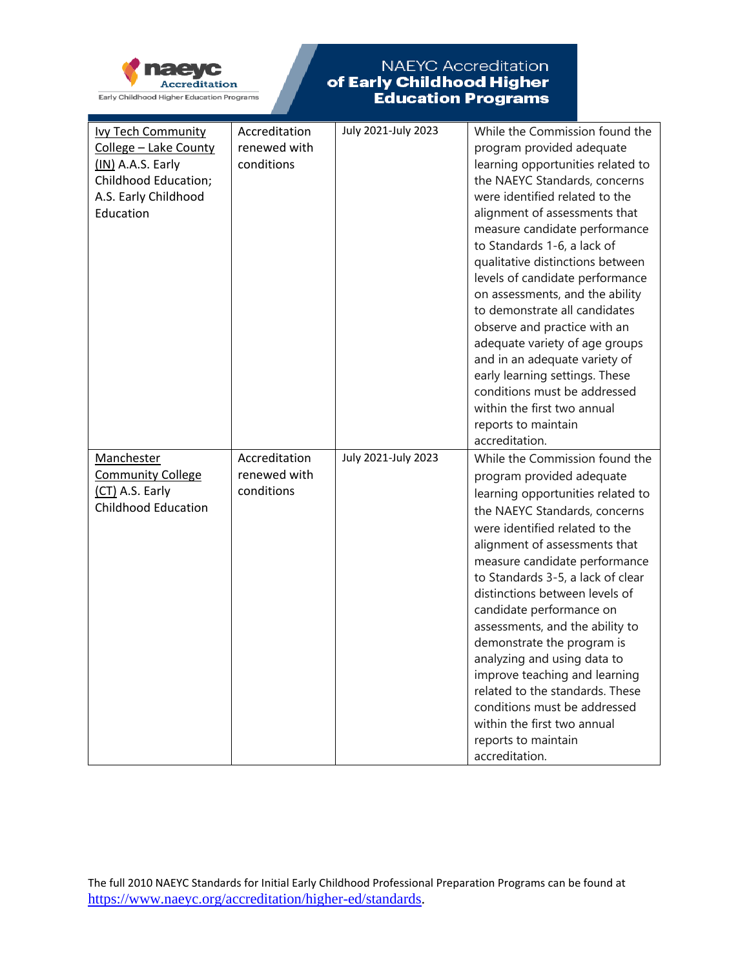

|                            |               | July 2021-July 2023 |                                   |
|----------------------------|---------------|---------------------|-----------------------------------|
| <b>Ivy Tech Community</b>  | Accreditation |                     | While the Commission found the    |
| College - Lake County      | renewed with  |                     | program provided adequate         |
| (IN) A.A.S. Early          | conditions    |                     | learning opportunities related to |
| Childhood Education;       |               |                     | the NAEYC Standards, concerns     |
| A.S. Early Childhood       |               |                     | were identified related to the    |
| Education                  |               |                     | alignment of assessments that     |
|                            |               |                     | measure candidate performance     |
|                            |               |                     | to Standards 1-6, a lack of       |
|                            |               |                     | qualitative distinctions between  |
|                            |               |                     | levels of candidate performance   |
|                            |               |                     | on assessments, and the ability   |
|                            |               |                     | to demonstrate all candidates     |
|                            |               |                     | observe and practice with an      |
|                            |               |                     | adequate variety of age groups    |
|                            |               |                     | and in an adequate variety of     |
|                            |               |                     |                                   |
|                            |               |                     | early learning settings. These    |
|                            |               |                     | conditions must be addressed      |
|                            |               |                     | within the first two annual       |
|                            |               |                     | reports to maintain               |
|                            |               |                     | accreditation.                    |
| Manchester                 | Accreditation | July 2021-July 2023 | While the Commission found the    |
| <b>Community College</b>   | renewed with  |                     | program provided adequate         |
| (CT) A.S. Early            | conditions    |                     | learning opportunities related to |
| <b>Childhood Education</b> |               |                     | the NAEYC Standards, concerns     |
|                            |               |                     | were identified related to the    |
|                            |               |                     |                                   |
|                            |               |                     | alignment of assessments that     |
|                            |               |                     | measure candidate performance     |
|                            |               |                     | to Standards 3-5, a lack of clear |
|                            |               |                     | distinctions between levels of    |
|                            |               |                     | candidate performance on          |
|                            |               |                     | assessments, and the ability to   |
|                            |               |                     | demonstrate the program is        |
|                            |               |                     | analyzing and using data to       |
|                            |               |                     | improve teaching and learning     |
|                            |               |                     | related to the standards. These   |
|                            |               |                     | conditions must be addressed      |
|                            |               |                     | within the first two annual       |
|                            |               |                     | reports to maintain               |
|                            |               |                     | accreditation.                    |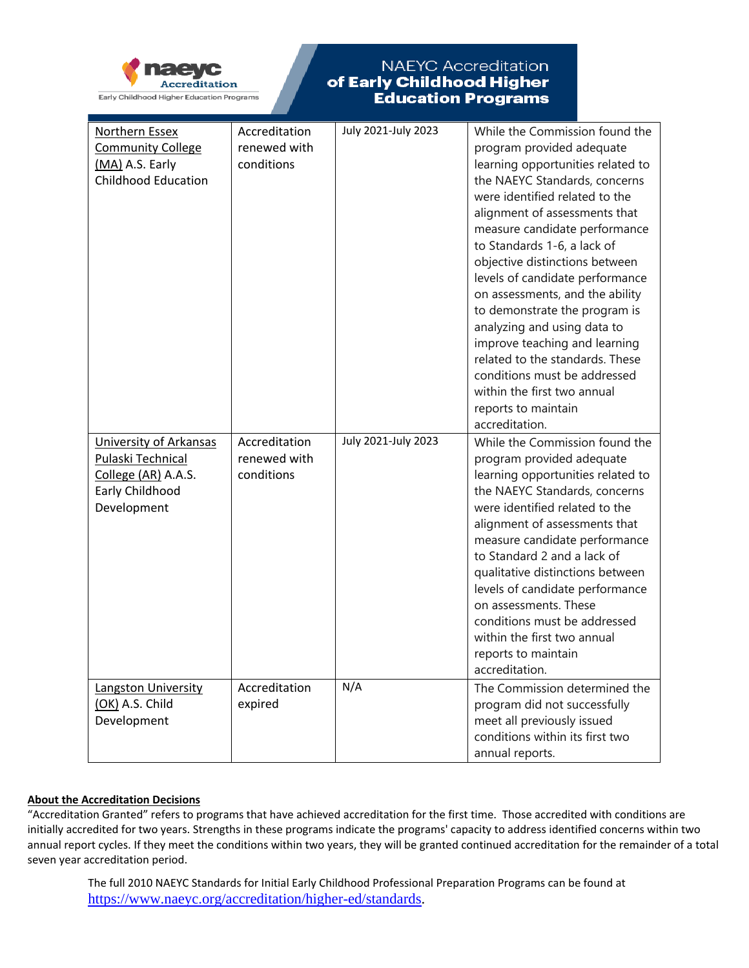

| Northern Essex<br><b>Community College</b><br>(MA) A.S. Early<br><b>Childhood Education</b>          | Accreditation<br>renewed with<br>conditions | July 2021-July 2023 | While the Commission found the<br>program provided adequate<br>learning opportunities related to<br>the NAEYC Standards, concerns<br>were identified related to the<br>alignment of assessments that<br>measure candidate performance<br>to Standards 1-6, a lack of<br>objective distinctions between<br>levels of candidate performance<br>on assessments, and the ability<br>to demonstrate the program is<br>analyzing and using data to<br>improve teaching and learning<br>related to the standards. These<br>conditions must be addressed<br>within the first two annual<br>reports to maintain<br>accreditation. |
|------------------------------------------------------------------------------------------------------|---------------------------------------------|---------------------|--------------------------------------------------------------------------------------------------------------------------------------------------------------------------------------------------------------------------------------------------------------------------------------------------------------------------------------------------------------------------------------------------------------------------------------------------------------------------------------------------------------------------------------------------------------------------------------------------------------------------|
| University of Arkansas<br>Pulaski Technical<br>College (AR) A.A.S.<br>Early Childhood<br>Development | Accreditation<br>renewed with<br>conditions | July 2021-July 2023 | While the Commission found the<br>program provided adequate<br>learning opportunities related to<br>the NAEYC Standards, concerns<br>were identified related to the<br>alignment of assessments that<br>measure candidate performance<br>to Standard 2 and a lack of<br>qualitative distinctions between<br>levels of candidate performance<br>on assessments. These<br>conditions must be addressed<br>within the first two annual<br>reports to maintain<br>accreditation.                                                                                                                                             |
| Langston University<br>(OK) A.S. Child<br>Development                                                | Accreditation<br>expired                    | N/A                 | The Commission determined the<br>program did not successfully<br>meet all previously issued<br>conditions within its first two<br>annual reports.                                                                                                                                                                                                                                                                                                                                                                                                                                                                        |

#### **About the Accreditation Decisions**

"Accreditation Granted" refers to programs that have achieved accreditation for the first time. Those accredited with conditions are initially accredited for two years. Strengths in these programs indicate the programs' capacity to address identified concerns within two annual report cycles. If they meet the conditions within two years, they will be granted continued accreditation for the remainder of a total seven year accreditation period.

The full 2010 NAEYC Standards for Initial Early Childhood Professional Preparation Programs can be found at [https://www.naeyc.org/accreditation/higher-ed/standards.](https://www.naeyc.org/accreditation/higher-ed/standards)